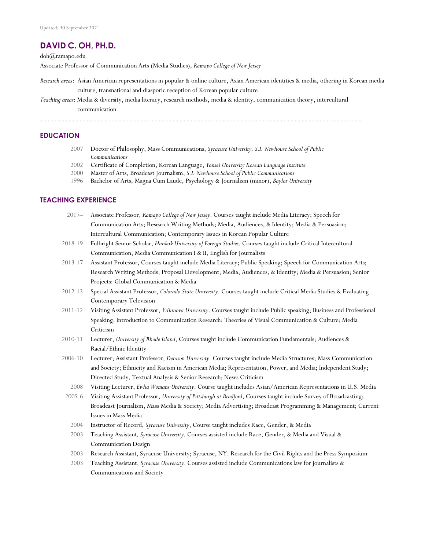# **DAVID C. OH, PH.D.**

doh@ramapo.edu

Associate Professor of Communication Arts (Media Studies), *Ramapo College of New Jersey*

- *Research areas*: Asian American representations in popular & online culture, Asian American identities & media, othering in Korean media culture, transnational and diasporic reception of Korean popular culture
- *Teaching areas*: Media & diversity, media literacy, research methods, media & identity, communication theory, intercultural communication

#### **EDUCATION**

- 2007 Doctor of Philosophy, Mass Communications, *Syracuse University, S.I. Newhouse School of Public Communications*
- 2002 Certificate of Completion, Korean Language, *Yonsei University Korean Language Institute*
- 2000 Master of Arts, Broadcast Journalism, *S.I. Newhouse School of Public Communications*
- 1996 Bachelor of Arts, Magna Cum Laude, Psychology & Journalism (minor), *Baylor University*

## **TEACHING EXPERIENCE**

| $2017 -$   | Associate Professor, Ramapo College of New Jersey. Courses taught include Media Literacy; Speech for                  |
|------------|-----------------------------------------------------------------------------------------------------------------------|
|            | Communication Arts; Research Writing Methods; Media, Audiences, & Identity; Media & Persuasion;                       |
|            | Intercultural Communication; Contemporary Issues in Korean Popular Culture                                            |
| 2018-19    | Fulbright Senior Scholar, Hankuk University of Foreign Studies. Courses taught include Critical Intercultural         |
|            | Communication, Media Communication I & II, English for Journalists                                                    |
| 2013-17    | Assistant Professor, Courses taught include Media Literacy; Public Speaking; Speech for Communication Arts;           |
|            | Research Writing Methods; Proposal Development; Media, Audiences, & Identity; Media & Persuasion; Senior              |
|            | Projects: Global Communication & Media                                                                                |
| 2012-13    | Special Assistant Professor, Colorado State University. Courses taught include Critical Media Studies & Evaluating    |
|            | Contemporary Television                                                                                               |
| 2011-12    | Visiting Assistant Professor, Villanova University. Courses taught include Public speaking; Business and Professional |
|            | Speaking; Introduction to Communication Research; Theories of Visual Communication & Culture; Media                   |
|            | Criticism                                                                                                             |
| 2010-11    | Lecturer, University of Rhode Island, Courses taught include Communication Fundamentals; Audiences &                  |
|            | Racial/Ethnic Identity                                                                                                |
| 2006-10    | Lecturer; Assistant Professor, Denison University. Courses taught include Media Structures; Mass Communication        |
|            | and Society; Ethnicity and Racism in American Media; Representation, Power, and Media; Independent Study;             |
|            | Directed Study, Textual Analysis & Senior Research; News Criticism                                                    |
| 2008       | Visiting Lecturer, Ewha Womans University. Course taught includes Asian/American Representations in U.S. Media        |
| $2005 - 6$ | Visiting Assistant Professor, University of Pittsburgh at Bradford, Courses taught include Survey of Broadcasting;    |
|            | Broadcast Journalism, Mass Media & Society; Media Advertising; Broadcast Programming & Management; Current            |
|            | Issues in Mass Media                                                                                                  |

- 2004 Instructor of Record, *Syracuse University*, Course taught includes Race, Gender, & Media
- 2003 Teaching Assistant*, Syracuse University*. Courses assisted include Race, Gender, & Media and Visual & Communication Design
- 2003 Research Assistant, Syracuse University; Syracuse, NY. Research for the Civil Rights and the Press Symposium
- 2003 Teaching Assistant, *Syracuse University*. Courses assisted include Communications law for journalists & Communications and Society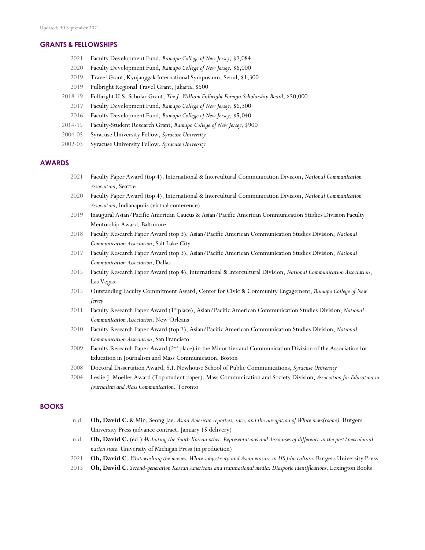#### **GRANTS & FELLOWSHIPS**

- 2021 Faculty Development Fund, *Ramapo College of New Jersey,* \$7,084
- 2020 Faculty Development Fund, *Ramapo College of New Jersey,* \$6,000
- 2019 Travel Grant, Kyujanggak International Symposium, Seoul, \$1,300
- 2019 Fulbright Regional Travel Grant, Jakarta, \$500
- 2018-19 Fulbright U.S. Scholar Grant, *The J. William Fulbright Foreign Scholarship Board*, \$50,000
	- 2017 Faculty Development Fund, *Ramapo College of New Jersey*, \$6,300
	- 2016 Faculty Development Fund, *Ramapo College of New Jersey*, \$5,040
- 2014-15 Faculty-Student Research Grant, *Ramapo College of New Jersey,* \$900
- 2004-05 Syracuse University Fellow, *Syracuse University*
- 2002-03 Syracuse University Fellow, *Syracuse University*

#### **AWARDS**

- 2021 Faculty Paper Award (top 4), International & Intercultural Communication Division, *National Communication Association*, Seattle
- 2020 Faculty Paper Award (top 4), International & Intercultural Communication Division, *National Communication Association*, Indianapolis (virtual conference)
- 2019 Inaugural Asian/Pacific American Caucus & Asian/Pacific American Communication Studies Division Faculty Mentorship Award, Baltimore
- 2018 Faculty Research Paper Award (top 3), Asian/Pacific American Communication Studies Division, *National Communication Association*, Salt Lake City
- 2017 Faculty Research Paper Award (top 3), Asian/Pacific American Communication Studies Division, *National Communication Association*, Dallas
- 2015 Faculty Research Paper Award (top 4), International & Intercultural Division, *National Communication Association*, Las Vegas
- 2015 Outstanding Faculty Commitment Award, Center for Civic & Community Engagement, *Ramapo College of New Jersey*
- 2011 Faculty Research Paper Award (1<sup>st</sup> place), Asian/Pacific American Communication Studies Division, *National Communication Association*, New Orleans
- 2010 Faculty Research Paper Award (top 3), Asian/Pacific American Communication Studies Division, *National Communication Association*, San Francisco
- 2009 Faculty Research Paper Award (2nd place) in the Minorities and Communication Division of the Association for Education in Journalism and Mass Communication, Boston
- 2008 Doctoral Dissertation Award, S.I. Newhouse School of Public Communications, *Syracuse University*
- 2004 Leslie J. Moeller Award (Top student paper), Mass Communication and Society Division, *Association for Education in Journalism and Mass Communication*, Toronto

#### **BOOKS**

- n.d. **Oh, David C.** & Min, Seong Jae. *Asian American reporters, race, and the navigation of White news(rooms)*. Rutgers University Press (advance contract, January 15 delivery)
- n.d. **Oh, David C.** (ed.) *Mediating the South Korean other: Representations and discourses of difference in the post/neocolonial nation state.* University of Michigan Press (in production)
- 2021 **Oh, David C**. *Whitewashing the movies: White subjectivity and Asian erasure in US film culture.* Rutgers University Press
- 2015 **Oh, David C.** *Second-generation Korean Americans and transnational media: Diasporic identifications.* Lexington Books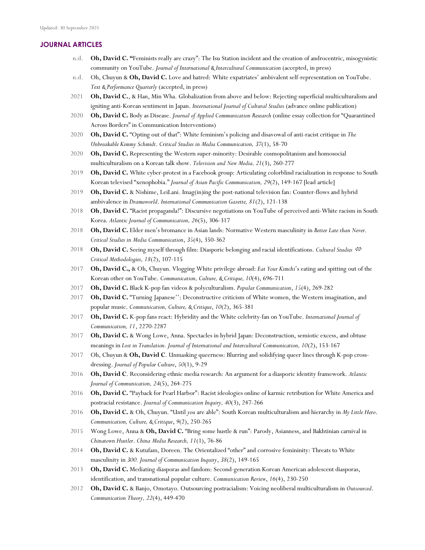## **JOURNAL ARTICLES**

- n.d. **Oh, David C. "**Feminists really are crazy": The Isu Station incident and the creation of androcentric, misogynistic community on YouTube. *Journal of International & Intercultural Communication* (accepted, in press)
- n.d. Oh, Chuyun & **Oh, David C.** Love and hatred: White expatriates' ambivalent self-representation on YouTube. *Text & Performance Quarterly* (accepted, in press)
- 2021 **Oh, David C.**, & Han, Min Wha. Globalization from above and below: Rejecting superficial multiculturalism and igniting anti-Korean sentiment in Japan. *International Journal of Cultural Studies* (advance online publication)
- 2020 **Oh, David C.** Body as Disease. *Journal of Applied Communication Research* (online essay collection for "Quarantined Across Borders" in Communication Interventions)
- 2020 **Oh, David C.** "Opting out of that": White feminism's policing and disavowal of anti-racist critique in *The Unbreakable Kimmy Schmidt*. *Critical Studies in Media Communication, 37*(1), 58-70
- 2020 **Oh, David C.** Representing the Western super-minority: Desirable cosmopolitanism and homosocial multiculturalism on a Korean talk show. *Television and New Media, 21*(3), 260-277
- 2019 **Oh, David C.** White cyber-protest in a Facebook group: Articulating colorblind racialization in response to South Korean televised "xenophobia." *Journal of Asian Pacific Communication, 29*(2), 149-167 [lead article]
- 2019 **Oh, David C.** & Nishime, LeiLani. Imag(in)ing the post-national television fan: Counter-flows and hybrid ambivalence in *Dramaworld*. *International Communication Gazette, 81*(2), 121-138
- 2018 **Oh**, **David C.** "Racist propaganda!": Discursive negotiations on YouTube of perceived anti-White racism in South Korea. *Atlantic Journal of Communication, 26*(5), 306-317
- 2018 **Oh, David C.** Elder men's bromance in Asian lands: Normative Western masculinity in *Better Late than Never*. *Critical Studies in Media Communication*, *35*(4), 350-362
- 2018 **Oh, David C.** Seeing myself through film: Diasporic belonging and racial identifications. *Cultural Studies*  $\Leftrightarrow$ *Critical Methodologies, 18*(2), 107-115
- 2017 **Oh, David C.,** & Oh, Chuyun. Vlogging White privilege abroad: *Eat Your Kimchi*'s eating and spitting out of the Korean other on YouTube. *Communication, Culture, & Critique, 10*(4), 696-711
- 2017 **Oh, David C.** Black K-pop fan videos & polyculturalism. *Popular Communication*, *15*(4), 269-282
- 2017 **Oh, David C.** "Turning Japanese'': Deconstructive criticism of White women, the Western imagination, and popular music. *Communication, Culture, & Critique*, *10*(2), 365-381
- 2017 **Oh, David C.** K-pop fans react: Hybridity and the White celebrity-fan on YouTube. *International Journal of Communication, 11*, 2270-2287
- 2017 **Oh, David C.** & Wong Lowe, Anna. Spectacles in hybrid Japan: Deconstruction, semiotic excess, and obtuse meanings in *Lost in Translation. Journal of International and Intercultural Communication, 10*(2), 153-167
- 2017 Oh, Chuyun & **Oh, David C**. Unmasking queerness: Blurring and solidifying queer lines through K-pop crossdressing. *Journal of Popular Culture*, *50*(1), 9-29
- 2016 **Oh, David C**. Reconsidering ethnic media research: An argument for a diasporic identity framework. *Atlantic Journal of Communication, 24*(5), 264-275
- 2016 **Oh, David C.** "Payback for Pearl Harbor": Racist ideologies online of karmic retribution for White America and postracial resistance. *Journal of Communication Inquiry, 40*(3), 247-266
- 2016 **Oh, David C.** & Oh, Chuyun. "Until *you* are able": South Korean multiculturalism and hierarchy in *My Little Hero*. *Communication, Culture, & Critique*, *9*(2), 250-265
- 2015 Wong Lowe, Anna & **Oh, David C.** "Bring some hustle & run": Parody, Asianness, and Bakhtinian carnival in *Chinatown Hustler*. *China Media Research, 11*(1), 76-86
- 2014 **Oh, David C.** & Kutufam, Doreen. The Orientalized "other" and corrosive femininity: Threats to White masculinity in *300. Journal of Communication Inquiry*, *38*(2), 149-165
- 2013 **Oh, David C.** Mediating diasporas and fandom: Second-generation Korean American adolescent diasporas, identification, and transnational popular culture. *Communication Review*, *16*(4), 230-250
- 2012 **Oh, David C.** & Banjo, Omotayo. Outsourcing postracialism: Voicing neoliberal multiculturalism in *Outsourced*. *Communication Theory, 22*(4), 449-470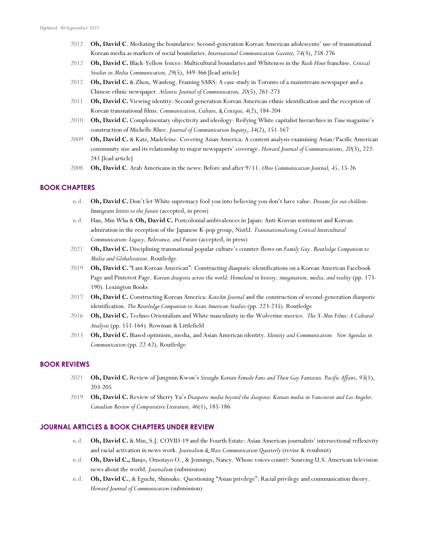- 2012 **Oh, David C**. Mediating the boundaries: Second-generation Korean American adolescents' use of transnational Korean media as markers of social boundaries. *International Communication Gazette, 74*(3), 258-276
- 2012 **Oh, David C.** Black-Yellow fences: Multicultural boundaries and Whiteness in the *Rush Hour* franchise. *Critical Studies in Media Communication, 29*(5), 349-366 [lead article]
- 2012 **Oh, David C.** & Zhou, Wanfeng. Framing SARS: A case study in Toronto of a mainstream newspaper and a Chinese ethnic newspaper. *Atlantic Journal of Communication, 20*(5), 261-273
- 2011 **Oh, David C.** Viewing identity: Second-generation Korean American ethnic identification and the reception of Korean transnational films. *Communication, Culture, & Critique, 4*(2), 184-204
- 2010 **Oh, David C.** Complementary objectivity and ideology: Reifying White capitalist hierarchies in *Time* magazine's construction of Michelle Rhee. *Journal of Communication Inquiry*, *34*(2), 151-167
- 2009 **Oh, David C.** & Katz, Madeleine. Covering Asian America: A content analysis examining Asian/Pacific American community size and its relationship to major newspapers' coverage. *Howard Journal of Communications, 20*(3), 222- 241 [lead article]
- 2008 **Oh, David C**. Arab Americans in the news: Before and after 9/11. *Ohio Communication Journal, 45,* 15-26

## **BOOK CHAPTERS**

- n.d. **Oh, David C.** Don't let White supremacy fool you into believing you don't have value. *Dreams for our children: Immigrant letters to the future* (accepted, in press)
- n.d. Han, Min Wha & **Oh, David C.** Postcolonial ambivalences in Japan: Anti-Korean sentiment and Korean admiration in the reception of the Japanese K-pop group, NiziU. *Transnationalizing Critical Intercultural Communication: Legacy, Relevance, and Future* (accepted, in press)
- 2021 **Oh, David C.** Disciplining transnational popular culture's counter-flows on *Family Guy*. *Routledge Companion to Media and Globalization*. Routledge
- 2019 **Oh, David C.** "I am Korean American": Constructing diasporic identifications on a Korean American Facebook Page and Pinterest Page. *Korean diaspora across the world: Homeland in history, imagination, media, and reality* (pp. 173- 190)*.* Lexington Books
- 2017 **Oh, David C.** Constructing Korean America: *KoreAm Journal* and the construction of second-generation diasporic identification. *The Routledge Companion to Asian American Studies* (pp. 223-235). Routledge
- 2016 **Oh, David C.** Techno-Orientalism and White masculinity in the Wolverine movies. *The X-Men Films: A Cultural Analysis* (pp. 151-164)*.* Rowman & Littlefield
- 2013 **Oh, David C.** Biased optimism, media, and Asian American identity. *Identity and Communication: New Agendas in Communication* (pp. 22-42). Routledge

#### **BOOK REVIEWS**

- 2021 **Oh, David C.** Review of Jungmin Kwon's *Straight Korean Female Fans and Their Gay Fantasies. Pacific Affairs, 93*(1), 203-205
- 2019 **Oh, David C.** Review of Sherry Yu's *Diasporic media beyond the diaspora: Korean media in Vancouver and Los Angeles*. *Canadian Review of Comparative Literature, 46*(1), 185-186

#### **JOURNAL ARTICLES & BOOK CHAPTERS UNDER REVIEW**

- n.d. **Oh, David C.** & Min, S.J. COVID-19 and the Fourth Estate: Asian American journalists' intersectional reflexivity and racial activation in news work. *Journalism & Mass Communication Quarterly* (revise & resubmit)
- n.d. **Oh, David C.,** Banjo, Omotayo O., & Jennings, Nancy. Whose voices count?: Sourcing U.S. American television news about the world. *Journalism* (submission)
- n.d. **Oh, David C.**, & Eguchi, Shinsuke. Questioning "Asian privilege": Racial privilege and communication theory. *Howard Journal of Communication* (submission)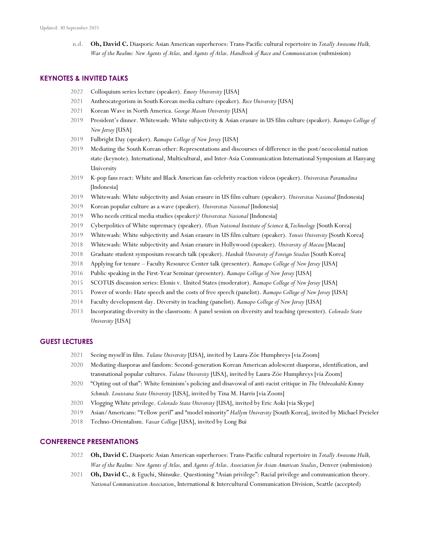n.d. **Oh, David C.** Diasporic Asian American superheroes: Trans-Pacific cultural repertoire in *Totally Awesome Hulk, War of the Realms: New Agents of Atlas,* and *Agents of Atlas*. *Handbook of Race and Communication* (submission)

#### **KEYNOTES & INVITED TALKS**

- Colloquium series lecture (speaker). *Emory University* [USA]
- Anthrocategorism in South Korean media culture (speaker). *Rice University* [USA]
- Korean Wave in North America. *George Mason University* [USA]
- President's dinner. Whitewash: White subjectivity & Asian erasure in US film culture (speaker). *Ramapo College of New Jersey* [USA]
- Fulbright Day (speaker). *Ramapo College of New Jersey* [USA]
- Mediating the South Korean other: Representations and discourses of difference in the post/neocolonial nation state (keynote). International, Multicultural, and Inter-Asia Communication International Symposium at Hanyang University
- K-pop fans react: White and Black American fan-celebrity reaction videos (speaker). *Universitas Paramadina*  [Indonesia]
- Whitewash: White subjectivity and Asian erasure in US film culture (speaker). *Universitas Nasional* [Indonesia]
- Korean popular culture as a wave (speaker). *Universitas Nasional* [Indonesia]
- Who needs critical media studies (speaker)? *Universitas Nasional* [Indonesia]
- Cyberpolitics of White supremacy (speaker). *Ulsan National Institute of Science & Technology* [South Korea]
- Whitewash: White subjectivity and Asian erasure in US film culture (speaker). *Yonsei University* [South Korea]
- Whitewash: White subjectivity and Asian erasure in Hollywood (speaker). *University of Macau* [Macau]
- Graduate student symposium research talk (speaker). *Hankuk University of Foreign Studies* [South Korea]
- Applying for tenure Faculty Resource Center talk (presenter). *Ramapo College of New Jersey* [USA]
- Public speaking in the First-Year Seminar (presenter). *Ramapo College of New Jersey* [USA]
- SCOTUS discussion series: Elonis v. United States (moderator). *Ramapo College of New Jersey* [USA]
- Power of words: Hate speech and the costs of free speech (panelist). *Ramapo College of New Jersey* [USA]
- Faculty development day. Diversity in teaching (panelist). *Ramapo College of New Jersey* [USA]
- Incorporating diversity in the classroom: A panel session on diversity and teaching (presenter). *Colorado State University* [USA]

#### **GUEST LECTURES**

- Seeing myself in film. *Tulane University* [USA], invited by Laura-Zöe Humphreys [via Zoom]
- Mediating diasporas and fandom: Second-generation Korean American adolescent diasporas, identification, and transnational popular cultures. *Tulane University* [USA], invited by Laura-Zöe Humphreys [via Zoom]
- "Opting out of that": White feminism's policing and disavowal of anti-racist critique in *The Unbreakable Kimmy Schmidt. Louisiana State University* [USA], invited by Tina M. Harris [via Zoom]
- Vlogging White privilege. *Colorado State University* [USA], invited by Eric Aoki [via Skype]
- Asian/Americans: "Yellow peril" and "model minority" *Hallym University* [South Korea], invited by Michael Preieler
- Techno-Orientalism. *Vassar College* [USA], invited by Long Bui

#### **CONFERENCE PRESENTATIONS**

- **Oh, David C.** Diasporic Asian American superheroes: Trans-Pacific cultural repertoire in *Totally Awesome Hulk, War of the Realms: New Agents of Atlas,* and *Agents of Atlas*. *Association for Asian American Studies*, Denver (submission)
- **Oh, David C.**, & Eguchi, Shinsuke. Questioning "Asian privilege": Racial privilege and communication theory. *National Communication Association*, International & Intercultural Communication Division, Seattle (accepted)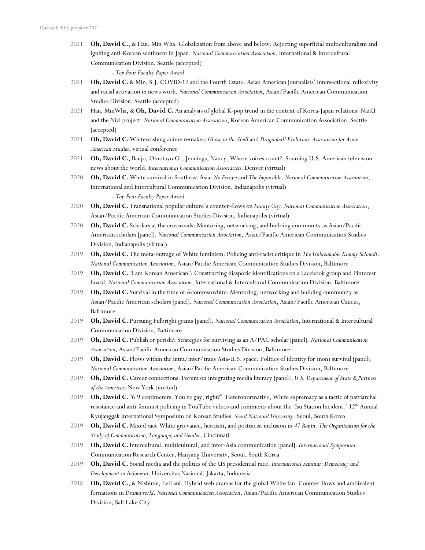2021 **Oh, David C.**, & Han, Min Wha. Globalization from above and below: Rejecting superficial multiculturalism and igniting anti-Korean sentiment in Japan. *National Communication Association*, International & Intercultural Communication Division, Seattle (accepted)

*- Top Four Faculty Paper Award*

- 2021 **Oh, David C.** & Min, S.J. COVID-19 and the Fourth Estate: Asian American journalists' intersectional reflexivity and racial activation in news work. *National Communication Association*, Asian/Pacific American Communication Studies Division, Seattle (accepted)
- 2021 Han, MinWha, & **Oh, David C.** An analysis of global K-pop trend in the context of Korea-Japan relations: NiziU and the Nizi project. *National Communication Association*, Korean American Communication Association, Seattle [accepted]
- 2021 **Oh, David C.** Whitewashing anime remakes: *Ghost in the Shell* and *Dragonball Evolution*. *Association for Asian American Studies*, virtual conference
- 2021 **Oh, David C.**, Banjo, Omotayo O., Jennings, Nancy. Whose voices count?: Sourcing U.S. American television news about the world. *International Communication Association*. Denver (virtual)
- 2020 **Oh, David C.** White survival in Southeast Asia: *No Escape* and *The Impossible*. *National Communication Association*, International and Intercultural Communication Division, Indianapolis (virtual) *- Top Four Faculty Paper Award*
- 2020 **Oh, David C.** Transnational popular culture's counter-flows on *Family Guy. National Communication Association*, Asian/Pacific American Communication Studies Division, Indianapolis (virtual)
- 2020 **Oh, David C.** Scholars at the crossroads: Mentoring, networking, and building community as Asian/Pacific American scholars [panel]. *National Communication Association*, Asian/Pacific American Communication Studies Division, Indianapolis (virtual)
- 2019 **Oh, David C.** The meta-outrage of White feminism: Policing anti-racist critique in *The Unbreakable Kimmy Schmidt*. *National Communication Association*, Asian/Pacific American Communication Studies Division, Baltimore
- 2019 **Oh, David C.** "I am Korean American": Constructing diasporic identifications on a Facebook group and Pinterest board. *National Communication Association*, International & Intercultural Communication Division, Baltimore
- 2019 **Oh, David C.** Survival in the time of #commsowhite: Mentoring, networking and building community as Asian/Pacific American scholars [panel]. *National Communication Association*, Asian/Pacific American Caucus, Baltimore
- 2019 **Oh, David C.** Pursuing Fulbright grants [panel]. *National Communication Association*, International & Intercultural Communication Division, Baltimore
- 2019 **Oh, David C.** Publish or perish?: Strategies for surviving as an A/PAC scholar [panel]. *National Communication Association*, Asian/Pacific American Communication Studies Division, Baltimore
- 2019 **Oh, David C.** Flows within the intra/inter/trans Asia-U.S. space: Politics of identity for (non) survival [panel]. *National Communication Association*, Asian/Pacific American Communication Studies Division, Baltimore
- 2019 **Oh, David C.** Career connections: Forum on integrating media literacy [panel]. *U.S. Department of State & Partners of the Americas.* New York (invited)
- 2019 **Oh, David C.** "6.9 centimeters. You're gay, right?": Heteronormative, White supremacy as a tactic of patriarchal resistance and anti-feminist policing in YouTube videos and comments about the 'Isu Station Incident.' 12<sup>th</sup> Annual Kyujanggak International Symposium on Korean Studies. *Seoul National University*. Seoul, South Korea
- 2019 **Oh, David C.** Mixed race White grievance, heroism, and postracist inclusion in *47 Ronin. The Organization for the Study of Communication, Language, and Gender*, Cincinnati
- 2019 **Oh, David C.** Intercultural, multicultural, and inter-Asia communication [panel]. *International Symposium*. Communication Research Center, Hanyang University, Seoul, South Korea
- 2019 **Oh, David C.** Social media and the politics of the US presidential race. *International Seminar: Democracy and Development in Indonesia*. Universitas Nasional, Jakarta, Indonesia
- 2018 **Oh, David C.**, & Nishime, LeiLani. Hybrid web dramas for the global White fan: Counter-flows and ambivalent formations in *Dramaworld*. *National Communication Association*, Asian/Pacific American Communication Studies Division, Salt Lake City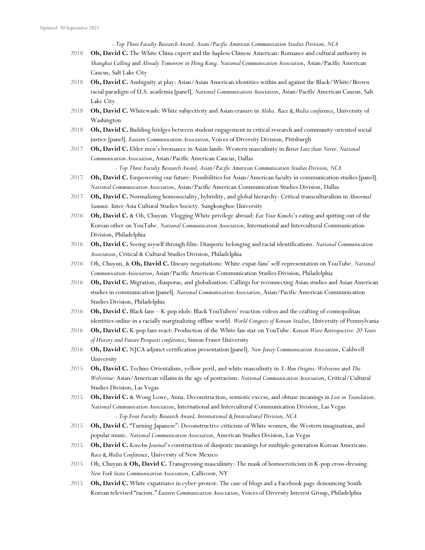*- Top Three Faculty Research Award, Asian/Pacific American Communication Studies Division, NCA*

- 2018 **Oh, David C.** The White China expert and the hapless Chinese American: Romance and cultural authority in *Shanghai Calling* and *Already Tomorrow in Hong Kong*. *National Communication Association*, Asian/Pacific American Caucus, Salt Lake City
- 2018 **Oh, David C.** Ambiguity at play: Asian/Asian American identities within and against the Black/White/Brown racial paradigm of U.S. academia [panel]. *National Communication Association*, Asian/Pacific American Caucus, Salt Lake City
- 2018 **Oh, David C.** Whitewash: White subjectivity and Asian erasure in *Aloha*. *Race & Media conference*, University of Washington
- 2018 **Oh, David C.** Building bridges between student engagement in critical research and community-oriented social justice [panel]. *Eastern Communication Association,* Voices of Diversity Division, Pittsburgh
- 2017 **Oh, David C.** Elder men's bromance in Asian lands: Western masculinity in *Better Late than Never*. *National Communication Association*, Asian/Pacific American Caucus, Dallas

*- Top Three Faculty Research Award, Asian/Pacific American Communication Studies Division, NCA*

- 2017 **Oh, David C.** Empowering our future: Possibilities for Asian/American faculty in communication studies [panel]. *National Communication Association*, Asian/Pacific American Communication Studies Division, Dallas
- 2017 **Oh, David C.** Normalizing homosociality, hybridity, and global hierarchy: Critical transculturalism in *Abnormal Summit*. Inter-Asia Cultural Studies Society. Sungkonghoe University
- 2016 **Oh, David C.** & Oh, Chuyun. Vlogging White privilege abroad: *Eat Your Kimchi*'s eating and spitting out of the Korean other on YouTube. *National Communication Association*, International and Intercultural Communication Division, Philadelphia
- 2016 **Oh, David C.** Seeing myself through film: Diasporic belonging and racial identifications. *National Communication Association*, Critical & Cultural Studies Division, Philadelphia
- 2016 Oh, Chuyun, & **Oh, David C.** Uneasy negotiations: White-expat-fans' self-representation on YouTube. *National Communication Association*, Asian/Pacific American Communication Studies Division, Philadelphia
- 2016 **Oh, David C.** Migration, diasporas, and globalization: Callings for reconnecting Asian studies and Asian American studies in communication [panel]. *National Communication Association*, Asian/Pacific American Communication Studies Division, Philadelphia
- 2016 **Oh, David C.** Black fans K-pop idols: Black YouTubers' reaction videos and the crafting of cosmopolitan identities online in a racially marginalizing offline world. *World Congress of Korean Studies*, University of Pennsylvania
- 2016 **Oh, David C.** K-pop fans react: Production of the White fan-star on YouTube. *Korean Wave Retrospective: 20 Years of History and Future Prospects conference*, Simon Fraser University
- 2016 **Oh, David C.** NJCA adjunct certification presentation [panel]. *New Jersey Communication Association*, Caldwell University
- 2015 **Oh, David C.** Techno-Orientalism, yellow peril, and white masculinity in *X-Men Origins: Wolverine* and *The Wolverine*: Asian/American villains in the age of postracism. *National Communication Association*, Critical/Cultural Studies Division, Las Vegas
- 2015 **Oh, David C.** & Wong Lowe, Anna. Deconstruction, semiotic excess, and obtuse meanings in *Lost in Translation*. *National Communication Association*, International and Intercultural Communication Division, Las Vegas *- Top Four Faculty Research Award, International & Intercultural Division, NCA*
- 2015 **Oh, David C.** "Turning Japanese": Deconstructive criticism of White women, the Western imagination, and popular music. *National Communication Association*, American Studies Division, Las Vegas
- 2015 **Oh, David C.** *KoreAm Journal*'s construction of diasporic meanings for multiple-generation Korean Americans. *Race & Media Conference*, University of New Mexico
- 2015 Oh, Chuyun & **Oh, David C.** Transgressing masculinity: The mask of homoeroticism in K-pop cross-dressing. *New York State Communication Association*, Callicoon, NY
- 2015 **Oh, David C.** White expatriates in cyber-protest: The case of blogs and a Facebook page denouncing South Korean televised "racism." *Eastern Communication Association*, Voices of Diversity Interest Group, Philadelphia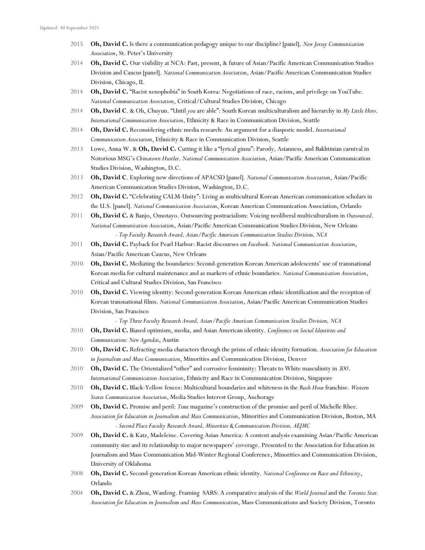- 2015 **Oh, David C.** Is there a communication pedagogy unique to our discipline? [panel]. *New Jersey Communication Association*, St. Peter's University
- 2014 **Oh, David C.** Our visibility at NCA: Past, present, & future of Asian/Pacific American Communication Studies Division and Caucus [panel]. *National Communication Association*, Asian/Pacific American Communication Studies Division, Chicago, IL
- 2014 **Oh, David C.** "Racist xenophobia" in South Korea: Negotiations of race, racism, and privilege on YouTube. *National Communication Association*, Critical/Cultural Studies Division, Chicago
- 2014 **Oh, David C**. & Oh, Chuyun. "Until *you* are able": South Korean multiculturalism and hierarchy in *My Little Hero*. *International Communication Association*, Ethnicity & Race in Communication Division, Seattle
- 2014 **Oh, David C.** Reconsidering ethnic media research: An argument for a diasporic model. *International Communication Association*, Ethnicity & Race in Communication Division, Seattle
- 2013 Lowe, Anna W. & **Oh, David C.** Cutting it like a "lyrical ginsu": Parody, Asianness, and Bakhtinian carnival in Notorious MSG's *Chinatown Hustler*. *National Communication Association*, Asian/Pacific American Communication Studies Division, Washington, D.C.
- 2013 **Oh, David C**. Exploring new directions of APACSD [panel]. *National Communication Association*, Asian/Pacific American Communication Studies Division, Washington, D.C.
- 2012 **Oh, David C.** "Celebrating CALM-Unity": Living as multicultural Korean American communication scholars in the U.S. [panel]. *National Communication Association*, Korean American Communication Association, Orlando
- 2011 **Oh, David C.** & Banjo, Omotayo. Outsourcing postracialism: Voicing neoliberal multiculturalism in *Outsourced*. *National Communication Association*, Asian/Pacific American Communication Studies Division, New Orleans *- Top Faculty Research Award, Asian/Pacific American Communication Studies Division, NCA*
- 2011 **Oh, David C.** Payback for Pearl Harbor: Racist discourses on *Facebook*. *National Communication Association*, Asian/Pacific American Caucus, New Orleans
- 2010 **Oh, David C.** Mediating the boundaries: Second-generation Korean American adolescents' use of transnational Korean media for cultural maintenance and as markers of ethnic boundaries. *National Communication Association*, Critical and Cultural Studies Division, San Francisco
- 2010 **Oh, David C.** Viewing identity: Second-generation Korean American ethnic identification and the reception of Korean transnational films. *National Communication Association*, Asian/Pacific American Communication Studies Division, San Francisco

*- Top Three Faculty Research Award, Asian/Pacific American Communication Studies Division, NCA*

- 2010 **Oh, David C.** Biased optimism, media, and Asian American identity. *Conference on Social Identities and Communication: New Agendas*, Austin
- 2010 **Oh, David C.** Refracting media characters through the prism of ethnic identity formation. *Association for Education in Journalism and Mass Communication*, Minorities and Communication Division, Denver
- 2010 **Oh, David C.** The Orientalized "other" and corrosive femininity: Threats to White masculinity in *300*. *International Communication Association*, Ethnicity and Race in Communication Division, Singapore
- 2010 **Oh, David C.** Black-Yellow fences: Multicultural boundaries and whiteness in the *Rush Hour* franchise. *Western States Communication Association*, Media Studies Interest Group, Anchorage
- 2009 **Oh, David C.** Promise and peril: *Time* magazine's construction of the promise and peril of Michelle Rhee. *Association for Education in Journalism and Mass Communication*, Minorities and Communication Division, Boston, MA *- Second Place Faculty Research Award, Minorities & Communication Division, AEJMC*
- 2009 **Oh, David C.** & Katz, Madeleine. Covering Asian America: A content analysis examining Asian/Pacific American community size and its relationship to major newspapers' coverage. Presented to the Association for Education in Journalism and Mass Communication Mid-Winter Regional Conference, Minorities and Communication Division, University of Oklahoma
- 2008 **Oh, David C.** Second-generation Korean American ethnic identity. *National Conference on Race and Ethnicity*, Orlando
- 2004 **Oh, David C.** & Zhou, Wanfeng. Framing SARS: A comparative analysis of the *World Journal* and the *Toronto Star. Association for Education in Journalism and Mass Communication*, Mass Communications and Society Division, Toronto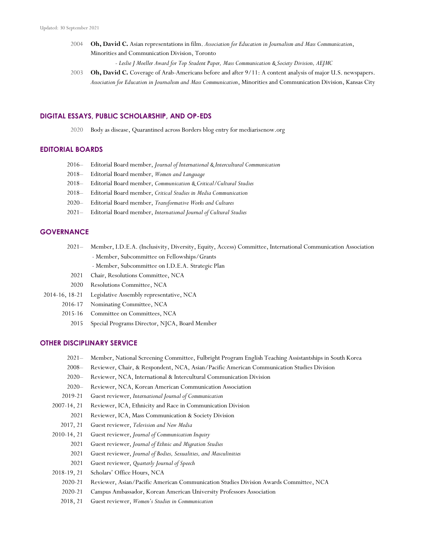2004 **Oh, David C.** Asian representations in film. *Association for Education in Journalism and Mass Communication*, Minorities and Communication Division, Toronto

*- Leslie J Moeller Award for Top Student Paper, Mass Communication & Society Division, AEJMC*

2003 **Oh, David C.** Coverage of Arab-Americans before and after  $9/11$ : A content analysis of major U.S. newspapers. *Association for Education in Journalism and Mass Communication*, Minorities and Communication Division, Kansas City

#### **DIGITAL ESSAYS, PUBLIC SCHOLARSHIP, AND OP-EDS**

2020 Body as disease, Quarantined across Borders blog entry for mediarisenow.org

## **EDITORIAL BOARDS**

- 2016*–* Editorial Board member, *Journal of International & Intercultural Communication*
- 2018*–* Editorial Board member, *Women and Language*
- 2018*–* Editorial Board member, *Communication & Critical/Cultural Studies*
- 2018*–* Editorial Board member, *Critical Studies in Media Communication*
- 2020*–* Editorial Board member, *Transformative Works and Cultures*
- 2021*–* Editorial Board member, *International Journal of Cultural Studies*

#### **GOVERNANCE**

- 2021*–* Member, I.D.E.A. (Inclusivity, Diversity, Equity, Access) Committee, International Communication Association - Member, Subcommittee on Fellowships/Grants
	- Member, Subcommittee on I.D.E.A. Strategic Plan
	- 2021 Chair, Resolutions Committee, NCA
- 2020 Resolutions Committee, NCA
- 2014-16, 18-21 Legislative Assembly representative, NCA
	- 2016*-*17 Nominating Committee, NCA
		- 2015-16 Committee on Committees, NCA
			- 2015 Special Programs Director, NJCA, Board Member

#### **OTHER DISCIPLINARY SERVICE**

- 2021*–* Member, National Screening Committee, Fulbright Program English Teaching Assistantships in South Korea
- 2008*–* Reviewer, Chair, & Respondent, NCA, Asian/Pacific American Communication Studies Division
- 2020*–* Reviewer, NCA, International & Intercultural Communication Division
- 2020*–* Reviewer, NCA, Korean American Communication Association
- 2019-21 Guest reviewer, *International Journal of Communication*
- 2007-14, 21 Reviewer, ICA, Ethnicity and Race in Communication Division
	- 2021 Reviewer, ICA, Mass Communication & Society Division
- 2017, 21 Guest reviewer, *Television and New Media*
- 2010-14, 21 Guest reviewer, *Journal of Communication Inquiry*
	- 2021 Guest reviewer, *Journal of Ethnic and Migration Studies*
		- 2021 Guest reviewer, *Journal of Bodies, Sexualities, and Masculinities*
		- 2021 Guest reviewer, *Quarterly Journal of Speech*
- 2018-19, 21 Scholars' Office Hours, NCA
	- 2020-21 Reviewer, Asian/Pacific American Communication Studies Division Awards Committee, NCA
	- 2020-21 Campus Ambassador, Korean American University Professors Association
	- 2018, 21 Guest reviewer, *Women's Studies in Communication*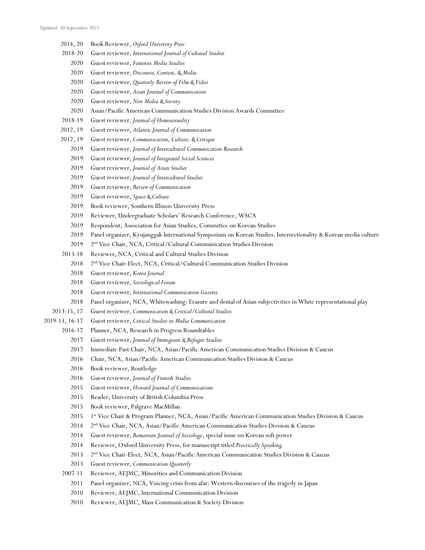- 2014, 20 Book Reviewer, *Oxford University Press*
- 2018-20 Guest reviewer, *International Journal of Cultural Studies*
	- Guest reviewer, *Feminist Media Studies*
	- Guest reviewer, *Discourse, Context, & Media*
	- Guest reviewer, *Quarterly Review of Film & Video*
	- Guest reviewer, *Asian Journal of Communication*
	- Guest reviewer, *New Media & Society*
	- Asian/Pacific American Communication Studies Division Awards Committee
- 2018-19 Guest reviewer, *Journal of Homosexuality*
- 2012, 19 Guest reviewer, *Atlantic Journal of Communication*
- 2012, 19 Guest reviewer, *Communication, Culture, & Critique*
	- Guest reviewer, *Journal of Intercultural Communication Research*
	- Guest reviewer, *Journal of Integrated Social Sciences*
	- Guest reviewer, *Journal of Asian Studies*
	- Guest reviewer, *Journal of Intercultural Studies*
	- Guest reviewer, *Review of Communication*
	- Guest reviewer, *Space & Culture*
	- Book reviewer, Southern Illinois University Press
	- Reviewer, Undergraduate Scholars' Research Conference, WSCA
	- Respondent, Association for Asian Studies, Committee on Korean Studies
	- Panel organizer, Kyujanggak International Symposium on Korean Studies, Intersectionality & Korean media culture
	- 2019 2<sup>nd</sup> Vice Chair, NCA, Critical/Cultural Communication Studies Division
- 2013-18 Reviewer, NCA, Critical and Cultural Studies Division
	- 2018 2<sup>nd</sup> Vice Chair-Elect, NCA, Critical/Cultural Communication Studies Division
	- Guest reviewer, *Korea Journal*
	- Guest reviewer, *Sociological Forum*
	- Guest reviewer, *International Communication Gazette*
	- Panel organizer, NCA, Whitewashing: Erasure and denial of Asian subjectivities in White representational play
- 2013-15, 17 Guest reviewer, *Communication & Critical/Cultural Studies*
- 2019-13, 16*-*17 Guest reviewer, *Critical Studies in Media Communication*
	- *-*17 Planner, NCA, Research in Progress Roundtables
		- Guest reviewer, *Journal of Immigrant & Refugee Studies*
		- Immediate Past Chair, NCA, Asian/Pacific American Communication Studies Division & Caucus
		- Chair, NCA, Asian/Pacific American Communication Studies Division & Caucus
		- Book reviewer, Routledge
		- Guest reviewer, *Journal of Finnish Studies*
		- Guest reviewer, *Howard Journal of Communications*
		- Reader, University of British Columbia Press
		- Book reviewer, Palgrave MacMillan
		- 2015 1<sup>st</sup> Vice Chair & Program Planner, NCA, Asian/Pacific American Communication Studies Division & Caucus
		- 2nd Vice Chair, NCA, Asian/Pacific American Communication Studies Division & Caucus
		- Guest reviewer, *Romanian Journal of Sociology*, special issue on Korean soft power
		- Reviewer, Oxford University Press, for manuscript titled *Practically Speaking*
		- 2nd Vice Chair-Elect, NCA, Asian/Pacific American Communication Studies Division & Caucus
		- Guest reviewer, *Communication Quarterly*
	- 2007-11 Reviewer, AEJMC, Minorities and Communication Division
		- Panel organizer, NCA, Voicing crisis from afar: Western discourses of the tragedy in Japan
		- Reviewer, AEJMC, International Communication Division
		- Reviewer, AEJMC, Mass Communication & Society Division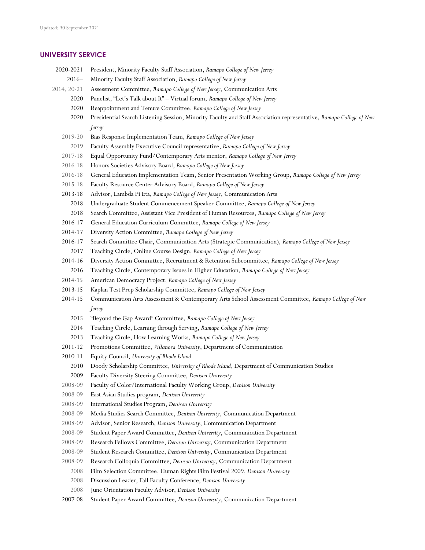#### **UNIVERSITY SERVICE**

- 2020-2021 President, Minority Faculty Staff Association, *Ramapo College of New Jersey*
- 2016*–* Minority Faculty Staff Association, *Ramapo College of New Jersey*
- 2014, 20-21 Assessment Committee, *Ramapo College of New Jersey*, Communication Arts
	- 2020 Panelist, "Let's Talk about It" Virtual forum, *Ramapo College of New Jersey*
	- 2020 Reappointment and Tenure Committee, *Ramapo College of New Jersey*
	- 2020 Presidential Search Listening Session, Minority Faculty and Staff Association representative, *Ramapo College of New Jersey*
	- 2019-20 Bias Response Implementation Team, *Ramapo College of New Jersey*
	- 2019 Faculty Assembly Executive Council representative, *Ramapo College of New Jersey*
	- 2017-18 Equal Opportunity Fund/Contemporary Arts mentor, *Ramapo College of New Jersey*
	- 2016-18 Honors Societies Advisory Board, *Ramapo College of New Jersey*
	- 2016-18 General Education Implementation Team, Senior Presentation Working Group, *Ramapo College of New Jersey*
	- 2015-18 Faculty Resource Center Advisory Board, *Ramapo College of New Jersey*
	- 2013-18 Advisor, Lambda Pi Eta, *Ramapo College of New Jersey*, Communication Arts
		- 2018 Undergraduate Student Commencement Speaker Committee, *Ramapo College of New Jersey*
		- 2018 Search Committee, Assistant Vice President of Human Resources, *Ramapo College of New Jersey*
	- 2016-17 General Education Curriculum Committee, *Ramapo College of New Jersey*
	- 2014-17 Diversity Action Committee, *Ramapo College of New Jersey*
	- 2016-17 Search Committee Chair, Communication Arts (Strategic Communication), *Ramapo College of New Jersey* 2017 Teaching Circle, Online Course Design, *Ramapo College of New Jersey*
	- 2014-16 Diversity Action Committee, Recruitment & Retention Subcommittee, *Ramapo College of New Jersey*
	- 2016 Teaching Circle, Contemporary Issues in Higher Education, *Ramapo College of New Jersey*
	- 2014-15 American Democracy Project, *Ramapo College of New Jersey*
	- 2013-15 Kaplan Test Prep Scholarship Committee, *Ramapo College of New Jersey*
	- 2014-15 Communication Arts Assessment & Contemporary Arts School Assessment Committee, *Ramapo College of New Jersey*
		- 2015 "Beyond the Gap Award" Committee, *Ramapo College of New Jersey*
		- 2014 Teaching Circle, Learning through Serving, *Ramapo College of New Jersey*
		- 2013 Teaching Circle, How Learning Works, *Ramapo College of New Jersey*
	- 2011-12 Promotions Committee, *Villanova University*, Department of Communication
	- 2010-11 Equity Council, *University of Rhode Island*
	- 2010 Doody Scholarship Committee, *University of Rhode Island*, Department of Communication Studies
	- 2009 Faculty Diversity Steering Committee, *Denison University*
	- 2008-09 Faculty of Color/International Faculty Working Group, *Denison University*
	- 2008-09 East Asian Studies program, *Denison University*
	- 2008-09 International Studies Program, *Denison University*
	- 2008-09 Media Studies Search Committee, *Denison University*, Communication Department
	- 2008-09 Advisor, Senior Research, *Denison University*, Communication Department
	- 2008-09 Student Paper Award Committee, *Denison University*, Communication Department
	- 2008-09 Research Fellows Committee, *Denison University*, Communication Department
	- 2008-09 Student Research Committee, *Denison University*, Communication Department
	- 2008-09 Research Colloquia Committee, *Denison University*, Communication Department
		- 2008 Film Selection Committee, Human Rights Film Festival 2009, *Denison University*
	- 2008 Discussion Leader, Fall Faculty Conference, *Denison University*
	- 2008 June Orientation Faculty Advisor, *Denison University*
	- 2007-08 Student Paper Award Committee, *Denison University*, Communication Department